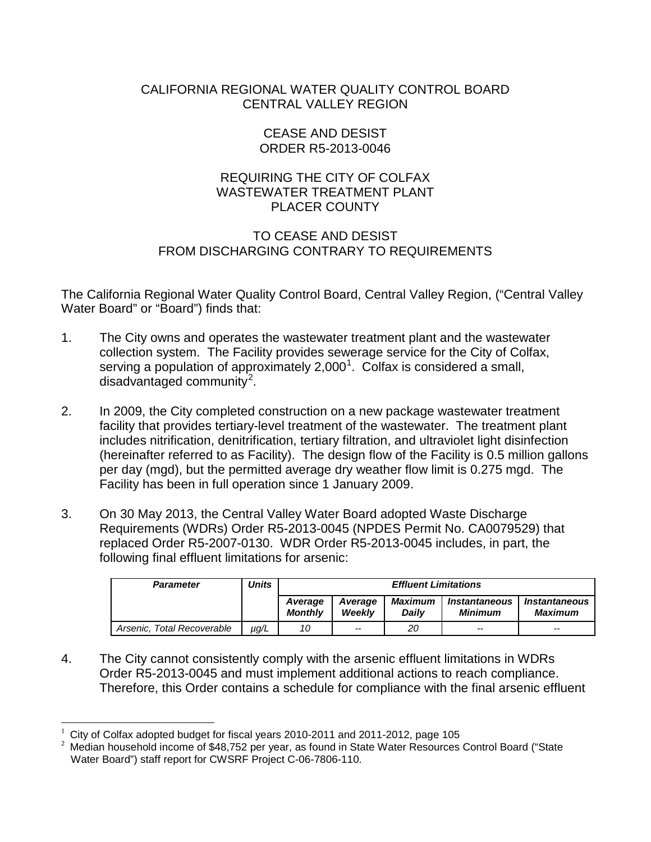#### CALIFORNIA REGIONAL WATER QUALITY CONTROL BOARD CENTRAL VALLEY REGION

#### CEASE AND DESIST ORDER R5-2013-0046

### REQUIRING THE CITY OF COLFAX WASTEWATER TREATMENT PLANT PLACER COUNTY

#### TO CEASE AND DESIST FROM DISCHARGING CONTRARY TO REQUIREMENTS

The California Regional Water Quality Control Board, Central Valley Region, ("Central Valley Water Board" or "Board") finds that:

- 1. The City owns and operates the wastewater treatment plant and the wastewater collection system. The Facility provides sewerage service for the City of Colfax, serving a population of approximately 2,000<sup>[1](#page-0-0)</sup>. Colfax is considered a small, disadvantaged community $^2$  $^2$ .
- 2. In 2009, the City completed construction on a new package wastewater treatment facility that provides tertiary-level treatment of the wastewater. The treatment plant includes nitrification, denitrification, tertiary filtration, and ultraviolet light disinfection (hereinafter referred to as Facility). The design flow of the Facility is 0.5 million gallons per day (mgd), but the permitted average dry weather flow limit is 0.275 mgd. The Facility has been in full operation since 1 January 2009.
- 3. On 30 May 2013, the Central Valley Water Board adopted Waste Discharge Requirements (WDRs) Order R5-2013-0045 (NPDES Permit No. CA0079529) that replaced Order R5-2007-0130. WDR Order R5-2013-0045 includes, in part, the following final effluent limitations for arsenic:

| <b>Parameter</b>           | Units     | <b>Effluent Limitations</b> |                   |                         |                                        |                                        |
|----------------------------|-----------|-----------------------------|-------------------|-------------------------|----------------------------------------|----------------------------------------|
|                            |           | Average<br>Monthlv          | Average<br>Weekly | <b>Maximum</b><br>Dailv | <i><b>Instantaneous</b></i><br>Minimum | <i><b>Instantaneous</b></i><br>Maximum |
| Arsenic. Total Recoverable | $\mu q/L$ | 10                          | $-$               | 20                      | $-$                                    | $-$                                    |

4. The City cannot consistently comply with the arsenic effluent limitations in WDRs Order R5-2013-0045 and must implement additional actions to reach compliance. Therefore, this Order contains a schedule for compliance with the final arsenic effluent

<span id="page-0-0"></span> $\frac{1}{1}$ City of Colfax adopted budget for fiscal years 2010-2011 and 2011-2012, page 105 <sup>2</sup>

<span id="page-0-1"></span>Median household income of \$48,752 per year, as found in State Water Resources Control Board ("State Water Board") staff report for CWSRF Project C-06-7806-110.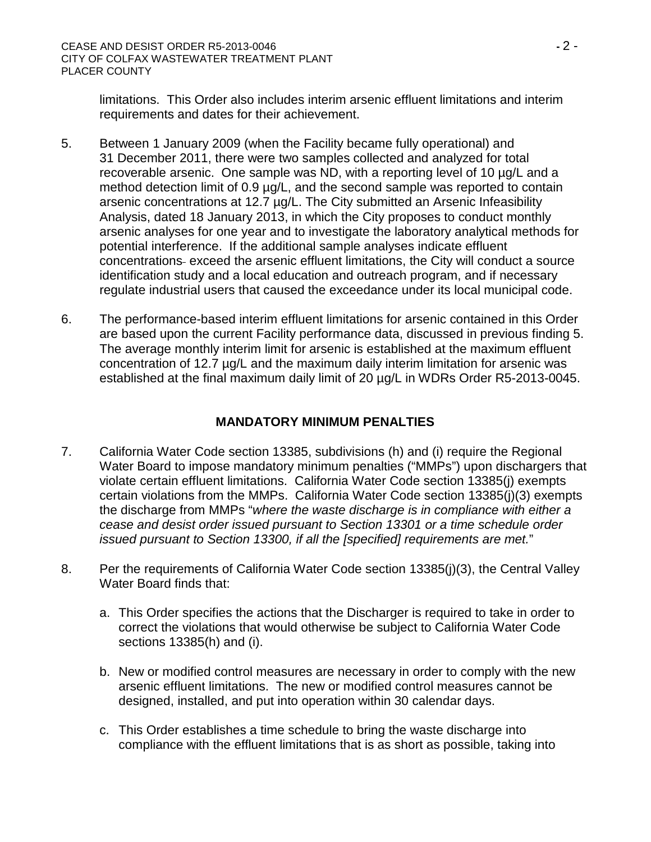limitations. This Order also includes interim arsenic effluent limitations and interim requirements and dates for their achievement.

- 5. Between 1 January 2009 (when the Facility became fully operational) and 31 December 2011, there were two samples collected and analyzed for total recoverable arsenic. One sample was ND, with a reporting level of 10 µg/L and a method detection limit of 0.9  $\mu$ g/L, and the second sample was reported to contain arsenic concentrations at 12.7 µg/L. The City submitted an Arsenic Infeasibility Analysis, dated 18 January 2013, in which the City proposes to conduct monthly arsenic analyses for one year and to investigate the laboratory analytical methods for potential interference. If the additional sample analyses indicate effluent concentrations- exceed the arsenic effluent limitations, the City will conduct a source identification study and a local education and outreach program, and if necessary regulate industrial users that caused the exceedance under its local municipal code.
- 6. The performance-based interim effluent limitations for arsenic contained in this Order are based upon the current Facility performance data, discussed in previous finding 5. The average monthly interim limit for arsenic is established at the maximum effluent concentration of 12.7 µg/L and the maximum daily interim limitation for arsenic was established at the final maximum daily limit of 20 µg/L in WDRs Order R5-2013-0045.

# **MANDATORY MINIMUM PENALTIES**

- 7. California Water Code section 13385, subdivisions (h) and (i) require the Regional Water Board to impose mandatory minimum penalties ("MMPs") upon dischargers that violate certain effluent limitations. California Water Code section 13385(j) exempts certain violations from the MMPs. California Water Code section 13385(j)(3) exempts the discharge from MMPs "*where the waste discharge is in compliance with either a cease and desist order issued pursuant to Section 13301 or a time schedule order issued pursuant to Section 13300, if all the [specified] requirements are met.*"
- 8. Per the requirements of California Water Code section 13385(j)(3), the Central Valley Water Board finds that:
	- a. This Order specifies the actions that the Discharger is required to take in order to correct the violations that would otherwise be subject to California Water Code sections 13385(h) and (i).
	- b. New or modified control measures are necessary in order to comply with the new arsenic effluent limitations. The new or modified control measures cannot be designed, installed, and put into operation within 30 calendar days.
	- c. This Order establishes a time schedule to bring the waste discharge into compliance with the effluent limitations that is as short as possible, taking into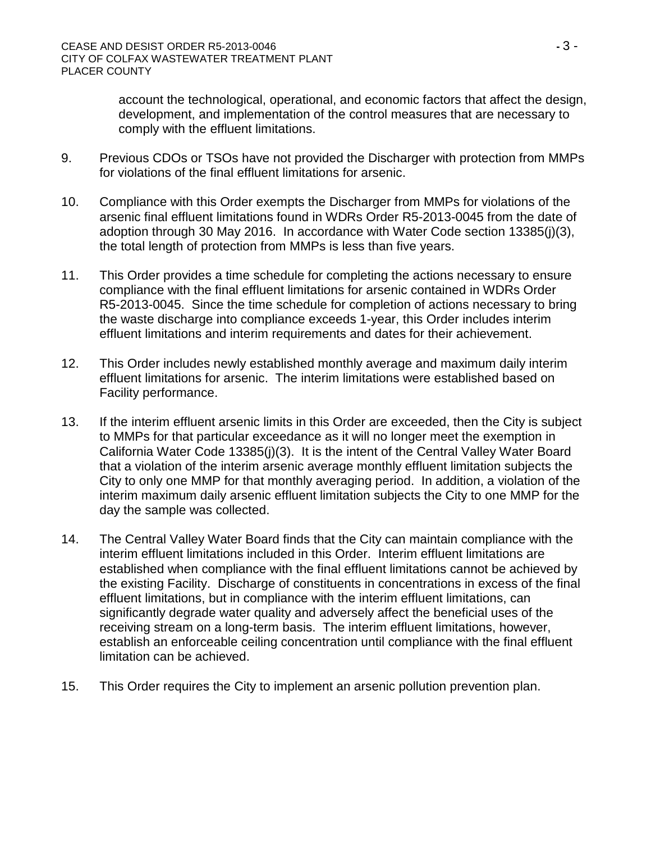account the technological, operational, and economic factors that affect the design, development, and implementation of the control measures that are necessary to comply with the effluent limitations.

- 9. Previous CDOs or TSOs have not provided the Discharger with protection from MMPs for violations of the final effluent limitations for arsenic.
- 10. Compliance with this Order exempts the Discharger from MMPs for violations of the arsenic final effluent limitations found in WDRs Order R5-2013-0045 from the date of adoption through 30 May 2016. In accordance with Water Code section 13385(j)(3), the total length of protection from MMPs is less than five years.
- 11. This Order provides a time schedule for completing the actions necessary to ensure compliance with the final effluent limitations for arsenic contained in WDRs Order R5-2013-0045. Since the time schedule for completion of actions necessary to bring the waste discharge into compliance exceeds 1-year, this Order includes interim effluent limitations and interim requirements and dates for their achievement.
- 12. This Order includes newly established monthly average and maximum daily interim effluent limitations for arsenic. The interim limitations were established based on Facility performance.
- 13. If the interim effluent arsenic limits in this Order are exceeded, then the City is subject to MMPs for that particular exceedance as it will no longer meet the exemption in California Water Code 13385(j)(3). It is the intent of the Central Valley Water Board that a violation of the interim arsenic average monthly effluent limitation subjects the City to only one MMP for that monthly averaging period. In addition, a violation of the interim maximum daily arsenic effluent limitation subjects the City to one MMP for the day the sample was collected.
- 14. The Central Valley Water Board finds that the City can maintain compliance with the interim effluent limitations included in this Order. Interim effluent limitations are established when compliance with the final effluent limitations cannot be achieved by the existing Facility. Discharge of constituents in concentrations in excess of the final effluent limitations, but in compliance with the interim effluent limitations, can significantly degrade water quality and adversely affect the beneficial uses of the receiving stream on a long-term basis. The interim effluent limitations, however, establish an enforceable ceiling concentration until compliance with the final effluent limitation can be achieved.
- 15. This Order requires the City to implement an arsenic pollution prevention plan.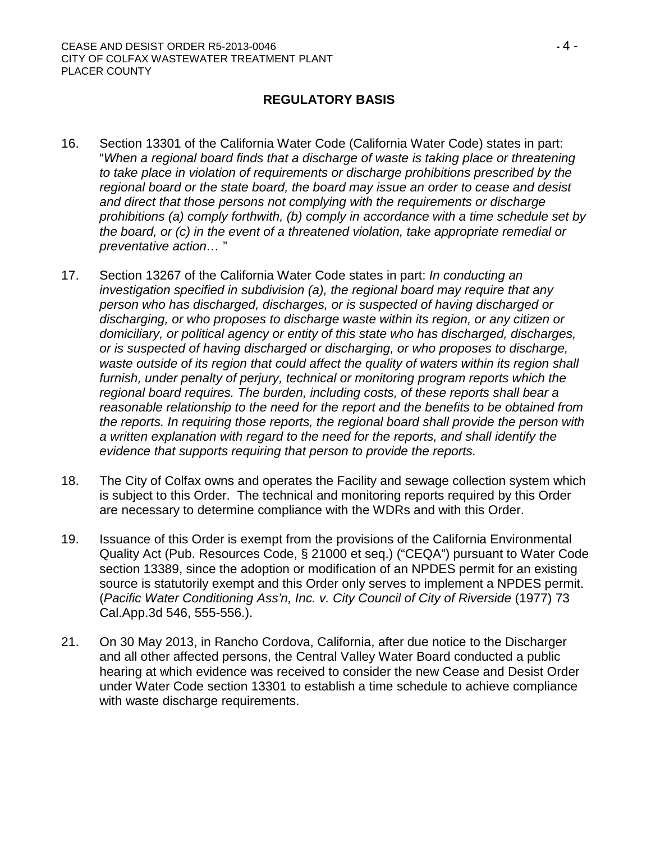# **REGULATORY BASIS**

- 16. Section 13301 of the California Water Code (California Water Code) states in part: "*When a regional board finds that a discharge of waste is taking place or threatening to take place in violation of requirements or discharge prohibitions prescribed by the regional board or the state board, the board may issue an order to cease and desist and direct that those persons not complying with the requirements or discharge prohibitions (a) comply forthwith, (b) comply in accordance with a time schedule set by the board, or (c) in the event of a threatened violation, take appropriate remedial or preventative action…* "
- 17. Section 13267 of the California Water Code states in part: *In conducting an investigation specified in subdivision (a), the regional board may require that any person who has discharged, discharges, or is suspected of having discharged or discharging, or who proposes to discharge waste within its region, or any citizen or domiciliary, or political agency or entity of this state who has discharged, discharges, or is suspected of having discharged or discharging, or who proposes to discharge, waste outside of its region that could affect the quality of waters within its region shall*  furnish, under penalty of perjury, technical or monitoring program reports which the *regional board requires. The burden, including costs, of these reports shall bear a reasonable relationship to the need for the report and the benefits to be obtained from the reports. In requiring those reports, the regional board shall provide the person with a written explanation with regard to the need for the reports, and shall identify the evidence that supports requiring that person to provide the reports.*
- 18. The City of Colfax owns and operates the Facility and sewage collection system which is subject to this Order. The technical and monitoring reports required by this Order are necessary to determine compliance with the WDRs and with this Order.
- 19. Issuance of this Order is exempt from the provisions of the California Environmental Quality Act (Pub. Resources Code, § 21000 et seq.) ("CEQA") pursuant to Water Code section 13389, since the adoption or modification of an NPDES permit for an existing source is statutorily exempt and this Order only serves to implement a NPDES permit. (*Pacific Water Conditioning Ass'n, Inc. v. City Council of City of Riverside* (1977) 73 Cal.App.3d 546, 555-556.).
- 21. On 30 May 2013, in Rancho Cordova, California, after due notice to the Discharger and all other affected persons, the Central Valley Water Board conducted a public hearing at which evidence was received to consider the new Cease and Desist Order under Water Code section 13301 to establish a time schedule to achieve compliance with waste discharge requirements.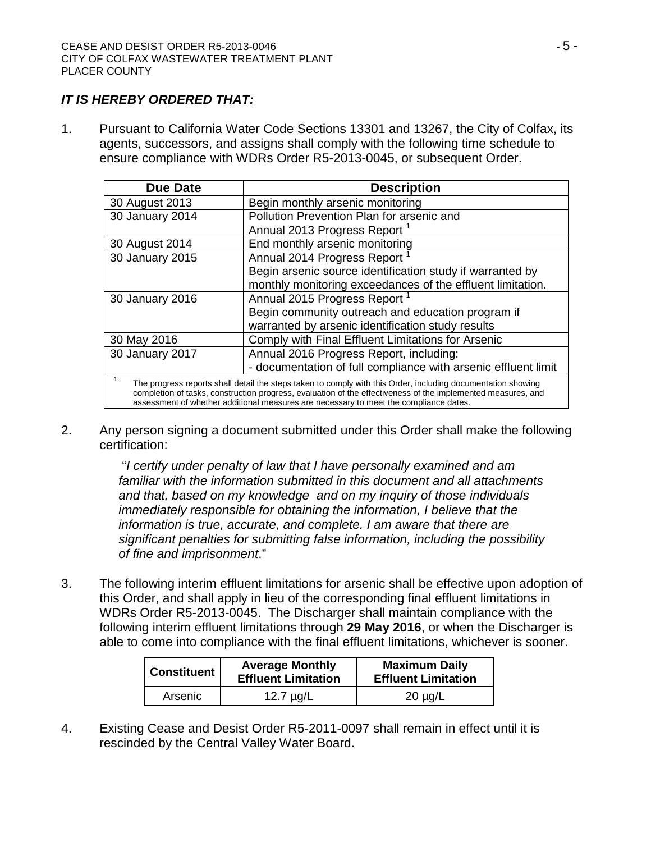### *IT IS HEREBY ORDERED THAT:*

1. Pursuant to California Water Code Sections 13301 and 13267, the City of Colfax, its agents, successors, and assigns shall comply with the following time schedule to ensure compliance with WDRs Order R5-2013-0045, or subsequent Order.

| <b>Due Date</b>                                                                                                                                                                                                                                                                                                             | <b>Description</b>                                             |  |  |
|-----------------------------------------------------------------------------------------------------------------------------------------------------------------------------------------------------------------------------------------------------------------------------------------------------------------------------|----------------------------------------------------------------|--|--|
| 30 August 2013                                                                                                                                                                                                                                                                                                              | Begin monthly arsenic monitoring                               |  |  |
| 30 January 2014                                                                                                                                                                                                                                                                                                             | Pollution Prevention Plan for arsenic and                      |  |  |
|                                                                                                                                                                                                                                                                                                                             | Annual 2013 Progress Report <sup>1</sup>                       |  |  |
| 30 August 2014                                                                                                                                                                                                                                                                                                              | End monthly arsenic monitoring                                 |  |  |
| 30 January 2015                                                                                                                                                                                                                                                                                                             | Annual 2014 Progress Report <sup>1</sup>                       |  |  |
|                                                                                                                                                                                                                                                                                                                             | Begin arsenic source identification study if warranted by      |  |  |
|                                                                                                                                                                                                                                                                                                                             | monthly monitoring exceedances of the effluent limitation.     |  |  |
| 30 January 2016                                                                                                                                                                                                                                                                                                             | Annual 2015 Progress Report <sup>1</sup>                       |  |  |
|                                                                                                                                                                                                                                                                                                                             | Begin community outreach and education program if              |  |  |
|                                                                                                                                                                                                                                                                                                                             | warranted by arsenic identification study results              |  |  |
| 30 May 2016                                                                                                                                                                                                                                                                                                                 | Comply with Final Effluent Limitations for Arsenic             |  |  |
| 30 January 2017                                                                                                                                                                                                                                                                                                             | Annual 2016 Progress Report, including:                        |  |  |
|                                                                                                                                                                                                                                                                                                                             | - documentation of full compliance with arsenic effluent limit |  |  |
| 1.<br>The progress reports shall detail the steps taken to comply with this Order, including documentation showing<br>completion of tasks, construction progress, evaluation of the effectiveness of the implemented measures, and<br>assessment of whether additional measures are necessary to meet the compliance dates. |                                                                |  |  |

2. Any person signing a document submitted under this Order shall make the following certification:

> "*I certify under penalty of law that I have personally examined and am familiar with the information submitted in this document and all attachments and that, based on my knowledge and on my inquiry of those individuals immediately responsible for obtaining the information, I believe that the information is true, accurate, and complete. I am aware that there are significant penalties for submitting false information, including the possibility of fine and imprisonment*."

3. The following interim effluent limitations for arsenic shall be effective upon adoption of this Order, and shall apply in lieu of the corresponding final effluent limitations in WDRs Order R5-2013-0045. The Discharger shall maintain compliance with the following interim effluent limitations through **29 May 2016**, or when the Discharger is able to come into compliance with the final effluent limitations, whichever is sooner.

| <b>Constituent</b> | <b>Average Monthly</b><br><b>Effluent Limitation</b> | <b>Maximum Daily</b><br><b>Effluent Limitation</b> |  |
|--------------------|------------------------------------------------------|----------------------------------------------------|--|
| Arsenic            | 12.7 $\mu$ g/L                                       | $20 \mu g/L$                                       |  |

4. Existing Cease and Desist Order R5-2011-0097 shall remain in effect until it is rescinded by the Central Valley Water Board.